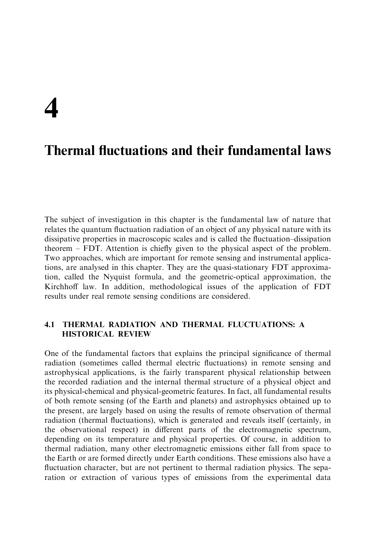# $\Delta$

## **Thermal fluctuations and their fundamental laws**

The subject of investigation in this chapter is the fundamental law of nature that relates the quantum fluctuation radiation of an object of any physical nature with its dissipative properties in macroscopic scales and is called the fluctuation-dissipation theorem  $-$  FDT. Attention is chiefly given to the physical aspect of the problem. Two approaches, which are important for remote sensing and instrumental applications, are analysed in this chapter. They are the quasi-stationary FDT approximation, called the Nyquist formula, and the geometric-optical approximation, the Kirchhoff law. In addition, methodological issues of the application of FDT results under real remote sensing conditions are considered.

#### $4.1$ THERMAL RADIATION AND THERMAL FLUCTUATIONS: A **HISTORICAL REVIEW**

One of the fundamental factors that explains the principal significance of thermal radiation (sometimes called thermal electric fluctuations) in remote sensing and astrophysical applications, is the fairly transparent physical relationship between the recorded radiation and the internal thermal structure of a physical object and its physical-chemical and physical-geometric features. In fact, all fundamental results of both remote sensing (of the Earth and planets) and astrophysics obtained up to the present, are largely based on using the results of remote observation of thermal radiation (thermal fluctuations), which is generated and reveals itself (certainly, in the observational respect) in different parts of the electromagnetic spectrum, depending on its temperature and physical properties. Of course, in addition to thermal radiation, many other electromagnetic emissions either fall from space to the Earth or are formed directly under Earth conditions. These emissions also have a fluctuation character, but are not pertinent to thermal radiation physics. The separation or extraction of various types of emissions from the experimental data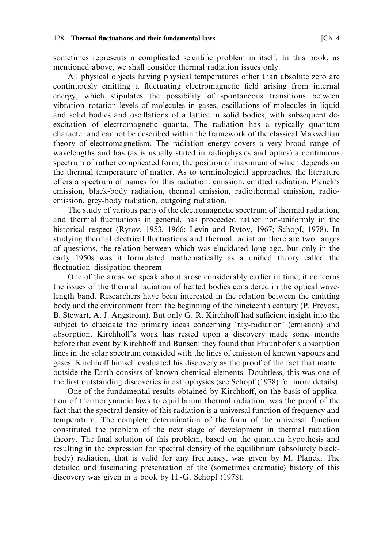All physical objects having physical temperatures other than absolute zero are continuously emitting a fluctuating electromagnetic field arising from internal energy, which stipulates the possibility of spontaneous transitions between vibration-rotation levels of molecules in gases, oscillations of molecules in liquid and solid bodies and oscillations of a lattice in solid bodies, with subsequent deexcitation of electromagnetic quanta. The radiation has a typically quantum character and cannot be described within the framework of the classical Maxwellian theory of electromagnetism. The radiation energy covers a very broad range of wavelengths and has (as is usually stated in radiophysics and optics) a continuous spectrum of rather complicated form, the position of maximum of which depends on the thermal temperature of matter. As to terminological approaches, the literature offers a spectrum of names for this radiation: emission, emitted radiation, Planck's emission, black-body radiation, thermal emission, radiothermal emission, radioemission, grey-body radiation, outgoing radiation.

The study of various parts of the electromagnetic spectrum of thermal radiation, and thermal fluctuations in general, has proceeded rather non-uniformly in the historical respect (Rytov, 1953, 1966; Levin and Rytov, 1967; Schopf, 1978). In studying thermal electrical fluctuations and thermal radiation there are two ranges of questions, the relation between which was elucidated long ago, but only in the early 1950s was it formulated mathematically as a unified theory called the fluctuation-dissipation theorem.

One of the areas we speak about arose considerably earlier in time; it concerns the issues of the thermal radiation of heated bodies considered in the optical wavelength band. Researchers have been interested in the relation between the emitting body and the environment from the beginning of the nineteenth century (P. Prevost, B. Stewart, A. J. Angstrom). But only G. R. Kirchhoff had sufficient insight into the subject to elucidate the primary ideas concerning 'ray-radiation' (emission) and absorption. Kirchhoff's work has rested upon a discovery made some months before that event by Kirchhoff and Bunsen: they found that Fraunhofer's absorption lines in the solar spectrum coincided with the lines of emission of known vapours and gases. Kirchhoff himself evaluated his discovery as the proof of the fact that matter outside the Earth consists of known chemical elements. Doubtless, this was one of the first outstanding discoveries in astrophysics (see Schopf (1978) for more details).

One of the fundamental results obtained by Kirchhoff, on the basis of application of thermodynamic laws to equilibrium thermal radiation, was the proof of the fact that the spectral density of this radiation is a universal function of frequency and temperature. The complete determination of the form of the universal function constituted the problem of the next stage of development in thermal radiation theory. The final solution of this problem, based on the quantum hypothesis and resulting in the expression for spectral density of the equilibrium (absolutely blackbody) radiation, that is valid for any frequency, was given by M. Planck. The detailed and fascinating presentation of the (sometimes dramatic) history of this discovery was given in a book by H.-G. Schopf (1978).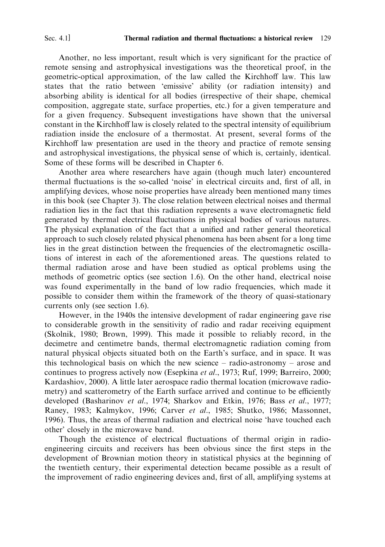Another, no less important, result which is very significant for the practice of remote sensing and astrophysical investigations was the theoretical proof, in the geometric-optical approximation, of the law called the Kirchhoff law. This law states that the ratio between 'emissive' ability (or radiation intensity) and absorbing ability is identical for all bodies (irrespective of their shape, chemical composition, aggregate state, surface properties, etc.) for a given temperature and for a given frequency. Subsequent investigations have shown that the universal constant in the Kirchhoff law is closely related to the spectral intensity of equilibrium radiation inside the enclosure of a thermostat. At present, several forms of the Kirchhoff law presentation are used in the theory and practice of remote sensing and astrophysical investigations, the physical sense of which is, certainly, identical. Some of these forms will be described in Chapter 6.

Another area where researchers have again (though much later) encountered thermal fluctuations is the so-called 'noise' in electrical circuits and, first of all, in amplifying devices, whose noise properties have already been mentioned many times in this book (see Chapter 3). The close relation between electrical noises and thermal radiation lies in the fact that this radiation represents a wave electromagnetic field generated by thermal electrical fluctuations in physical bodies of various natures. The physical explanation of the fact that a unified and rather general theoretical approach to such closely related physical phenomena has been absent for a long time lies in the great distinction between the frequencies of the electromagnetic oscillations of interest in each of the aforementioned areas. The questions related to thermal radiation arose and have been studied as optical problems using the methods of geometric optics (see section 1.6). On the other hand, electrical noise was found experimentally in the band of low radio frequencies, which made it possible to consider them within the framework of the theory of quasi-stationary currents only (see section 1.6).

However, in the 1940s the intensive development of radar engineering gave rise to considerable growth in the sensitivity of radio and radar receiving equipment (Skolnik, 1980; Brown, 1999). This made it possible to reliably record, in the decimetre and centimetre bands, thermal electromagnetic radiation coming from natural physical objects situated both on the Earth's surface, and in space. It was this technological basis on which the new science  $-$  radio-astronomy  $-$  arose and continues to progress actively now (Esepkina et al., 1973; Ruf, 1999; Barreiro, 2000; Kardashiov, 2000). A little later aerospace radio thermal location (microwave radiometry) and scatterometry of the Earth surface arrived and continue to be efficiently developed (Basharinov et al., 1974; Sharkov and Etkin, 1976; Bass et al., 1977; Raney, 1983; Kalmykov, 1996; Carver et al., 1985; Shutko, 1986; Massonnet, 1996). Thus, the areas of thermal radiation and electrical noise 'have touched each other' closely in the microwave band.

Though the existence of electrical fluctuations of thermal origin in radioengineering circuits and receivers has been obvious since the first steps in the development of Brownian motion theory in statistical physics at the beginning of the twentieth century, their experimental detection became possible as a result of the improvement of radio engineering devices and, first of all, amplifying systems at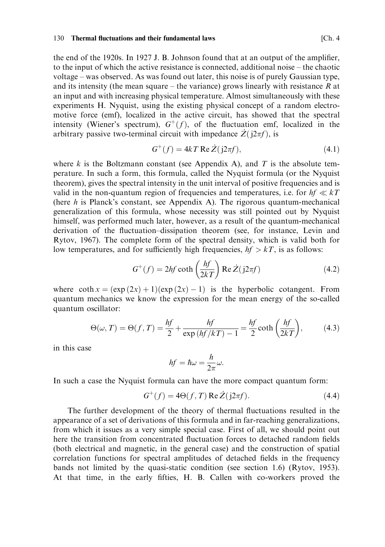the end of the 1920s. In 1927 J. B. Johnson found that at an output of the amplifier, to the input of which the active resistance is connected, additional noise – the chaotic voltage – was observed. As was found out later, this noise is of purely Gaussian type, and its intensity (the mean square – the variance) grows linearly with resistance  $R$  at an input and with increasing physical temperature. Almost simultaneously with these experiments H. Nyquist, using the existing physical concept of a random electromotive force (emf), localized in the active circuit, has showed that the spectral intensity (Wiener's spectrum),  $G^+(f)$ , of the fluctuation emf, localized in the arbitrary passive two-terminal circuit with impedance  $\dot{Z}(i2\pi f)$ , is

$$
G^+(f) = 4kT \operatorname{Re} Z(j2\pi f),\tag{4.1}
$$

where k is the Boltzmann constant (see Appendix A), and T is the absolute temperature. In such a form, this formula, called the Nyquist formula (or the Nyquist theorem), gives the spectral intensity in the unit interval of positive frequencies and is valid in the non-quantum region of frequencies and temperatures, i.e. for  $hf \ll kT$ (here  $h$  is Planck's constant, see Appendix A). The rigorous quantum-mechanical generalization of this formula, whose necessity was still pointed out by Nyquist himself, was performed much later, however, as a result of the quantum-mechanical derivation of the fluctuation-dissipation theorem (see, for instance, Levin and Rytov, 1967). The complete form of the spectral density, which is valid both for low temperatures, and for sufficiently high frequencies,  $hf > kT$ , is as follows:

$$
G^{+}(f) = 2hf \coth\left(\frac{hf}{2kT}\right) \operatorname{Re} \dot{Z}(j2\pi f) \tag{4.2}
$$

where  $\coth x = (\exp(2x) + 1)(\exp(2x) - 1)$  is the hyperbolic cotangent. From quantum mechanics we know the expression for the mean energy of the so-called quantum oscillator:

$$
\Theta(\omega, T) = \Theta(f, T) = \frac{hf}{2} + \frac{hf}{\exp\left(hf/kT\right) - 1} = \frac{hf}{2} \coth\left(\frac{hf}{2kT}\right),\tag{4.3}
$$

in this case

$$
hf=\hbar\omega=\frac{h}{2\pi}\omega.
$$

In such a case the Nyquist formula can have the more compact quantum form:

$$
G^{+}(f) = 4\Theta(f, T) \operatorname{Re} \dot{Z}(\mathrm{j}2\pi f). \tag{4.4}
$$

The further development of the theory of thermal fluctuations resulted in the appearance of a set of derivations of this formula and in far-reaching generalizations, from which it issues as a very simple special case. First of all, we should point out here the transition from concentrated fluctuation forces to detached random fields (both electrical and magnetic, in the general case) and the construction of spatial correlation functions for spectral amplitudes of detached fields in the frequency bands not limited by the quasi-static condition (see section 1.6) (Rytov, 1953). At that time, in the early fifties, H. B. Callen with co-workers proved the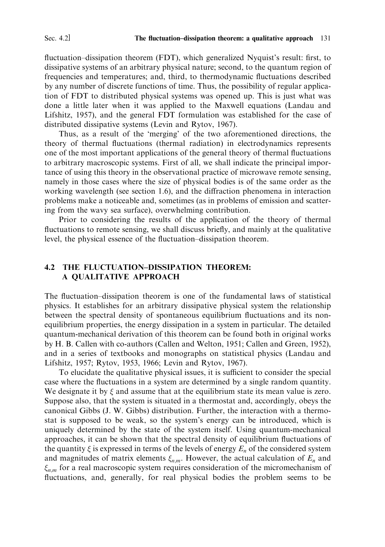fluctuation–dissipation theorem (FDT), which generalized Nyquist's result: first, to dissipative systems of an arbitrary physical nature; second, to the quantum region of frequencies and temperatures; and, third, to thermodynamic fluctuations described by any number of discrete functions of time. Thus, the possibility of regular application of FDT to distributed physical systems was opened up. This is just what was done a little later when it was applied to the Maxwell equations (Landau and Lifshitz, 1957), and the general FDT formulation was established for the case of distributed dissipative systems (Levin and Rytov, 1967).

Thus, as a result of the 'merging' of the two aforementioned directions, the theory of thermal fluctuations (thermal radiation) in electrodynamics represents one of the most important applications of the general theory of thermal fluctuations to arbitrary macroscopic systems. First of all, we shall indicate the principal importance of using this theory in the observational practice of microwave remote sensing, namely in those cases where the size of physical bodies is of the same order as the working wavelength (see section 1.6), and the diffraction phenomena in interaction problems make a noticeable and, sometimes (as in problems of emission and scattering from the wavy sea surface), overwhelming contribution.

Prior to considering the results of the application of the theory of thermal fluctuations to remote sensing, we shall discuss briefly, and mainly at the qualitative level, the physical essence of the fluctuation-dissipation theorem.

## **4.2 THE FLUCTUATION-DISSIPATION THEOREM:** A QUALITATIVE APPROACH

The fluctuation–dissipation theorem is one of the fundamental laws of statistical physics. It establishes for an arbitrary dissipative physical system the relationship between the spectral density of spontaneous equilibrium fluctuations and its nonequilibrium properties, the energy dissipation in a system in particular. The detailed quantum-mechanical derivation of this theorem can be found both in original works by H. B. Callen with co-authors (Callen and Welton, 1951; Callen and Green, 1952), and in a series of textbooks and monographs on statistical physics (Landau and Lifshitz, 1957; Rytov, 1953, 1966; Levin and Rytov, 1967).

To elucidate the qualitative physical issues, it is sufficient to consider the special case where the fluctuations in a system are determined by a single random quantity. We designate it by  $\xi$  and assume that at the equilibrium state its mean value is zero. Suppose also, that the system is situated in a thermostat and, accordingly, obeys the canonical Gibbs (J. W. Gibbs) distribution. Further, the interaction with a thermostat is supposed to be weak, so the system's energy can be introduced, which is uniquely determined by the state of the system itself. Using quantum-mechanical approaches, it can be shown that the spectral density of equilibrium fluctuations of the quantity  $\xi$  is expressed in terms of the levels of energy  $E_n$  of the considered system and magnitudes of matrix elements  $\xi_{n,m}$ . However, the actual calculation of  $E_n$  and  $\xi_{n,m}$  for a real macroscopic system requires consideration of the micromechanism of fluctuations, and, generally, for real physical bodies the problem seems to be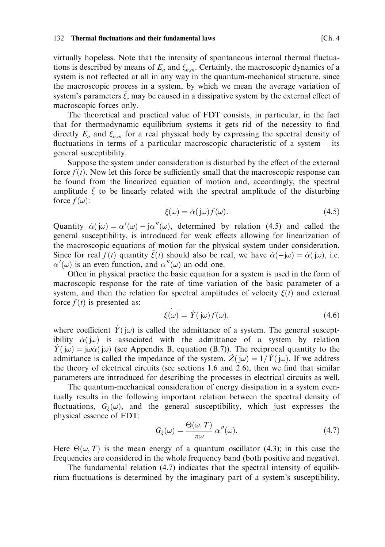#### Thermal fluctuations and their fundamental laws  $132<sup>°</sup>$

virtually hopeless. Note that the intensity of spontaneous internal thermal fluctuations is described by means of  $E_n$  and  $\xi_{n,m}$ . Certainly, the macroscopic dynamics of a system is not reflected at all in any way in the quantum-mechanical structure, since the macroscopic process in a system, by which we mean the average variation of system's parameters  $\xi$ , may be caused in a dissipative system by the external effect of macroscopic forces only.

The theoretical and practical value of FDT consists, in particular, in the fact that for thermodynamic equilibrium systems it gets rid of the necessity to find directly  $E_n$  and  $\xi_{nm}$  for a real physical body by expressing the spectral density of fluctuations in terms of a particular macroscopic characteristic of a system  $-$  its general susceptibility.

Suppose the system under consideration is disturbed by the effect of the external force  $f(t)$ . Now let this force be sufficiently small that the macroscopic response can be found from the linearized equation of motion and, accordingly, the spectral amplitude  $\bar{\xi}$  to be linearly related with the spectral amplitude of the disturbing force  $f(\omega)$ :

$$
\overline{\xi(\omega)} = \dot{\alpha}(j\omega)f(\omega). \tag{4.5}
$$

Quantity  $\dot{\alpha}(j\omega) = \alpha'(\omega) - j\alpha''(\omega)$ , determined by relation (4.5) and called the general susceptibility, is introduced for weak effects allowing for linearization of the macroscopic equations of motion for the physical system under consideration. Since for real  $f(t)$  quantity  $\xi(t)$  should also be real, we have  $\dot{\alpha}(-j\omega) = \dot{\alpha}(j\omega)$ , i.e.  $\alpha'(\omega)$  is an even function, and  $\alpha''(\omega)$  an odd one.

Often in physical practice the basic equation for a system is used in the form of macroscopic response for the rate of time variation of the basic parameter of a system, and then the relation for spectral amplitudes of velocity  $\xi(t)$  and external force  $f(t)$  is presented as:

$$
\overline{\xi(\omega)} = \dot{Y}(\mathbf{j}\omega) f(\omega),\tag{4.6}
$$

where coefficient  $Y(\omega)$  is called the admittance of a system. The general susceptibility  $\dot{\alpha}(\omega)$  is associated with the admittance of a system by relation  $\hat{Y}(\omega) = i\omega \dot{\alpha}(\omega)$  (see Appendix B, equation (B.7)). The reciprocal quantity to the admittance is called the impedance of the system,  $\dot{Z}(\dot{\omega}) = 1/\dot{Y}(\dot{\omega})$ . If we address the theory of electrical circuits (see sections 1.6 and 2.6), then we find that similar parameters are introduced for describing the processes in electrical circuits as well.

The quantum-mechanical consideration of energy dissipation in a system eventually results in the following important relation between the spectral density of fluctuations,  $G_{\xi}(\omega)$ , and the general susceptibility, which just expresses the physical essence of FDT:

$$
G_{\xi}(\omega) = \frac{\Theta(\omega, T)}{\pi \omega} \alpha''(\omega). \tag{4.7}
$$

Here  $\Theta(\omega, T)$  is the mean energy of a quantum oscillator (4.3); in this case the frequencies are considered in the whole frequency band (both positive and negative).

The fundamental relation  $(4.7)$  indicates that the spectral intensity of equilibrium fluctuations is determined by the imaginary part of a system's susceptibility,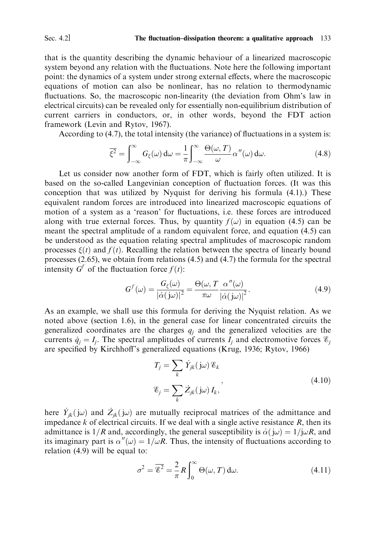Sec. 4.2]

### The fluctuation-dissipation theorem: a qualitative approach 133

that is the quantity describing the dynamic behaviour of a linearized macroscopic system beyond any relation with the fluctuations. Note here the following important point: the dynamics of a system under strong external effects, where the macroscopic equations of motion can also be nonlinear, has no relation to thermodynamic fluctuations. So, the macroscopic non-linearity (the deviation from Ohm's law in electrical circuits) can be revealed only for essentially non-equilibrium distribution of current carriers in conductors, or, in other words, beyond the FDT action framework (Levin and Rytov, 1967).

According to (4.7), the total intensity (the variance) of fluctuations in a system is:

$$
\overline{\xi^2} = \int_{-\infty}^{\infty} G_{\xi}(\omega) d\omega = \frac{1}{\pi} \int_{-\infty}^{\infty} \frac{\Theta(\omega, T)}{\omega} \alpha''(\omega) d\omega.
$$
 (4.8)

Let us consider now another form of FDT, which is fairly often utilized. It is based on the so-called Langevinian conception of fluctuation forces. (It was this conception that was utilized by Nyquist for deriving his formula (4.1).) These equivalent random forces are introduced into linearized macroscopic equations of motion of a system as a 'reason' for fluctuations, i.e. these forces are introduced along with true external forces. Thus, by quantity  $f(\omega)$  in equation (4.5) can be meant the spectral amplitude of a random equivalent force, and equation (4.5) can be understood as the equation relating spectral amplitudes of macroscopic random processes  $\xi(t)$  and  $f(t)$ . Recalling the relation between the spectra of linearly bound processes  $(2.65)$ , we obtain from relations  $(4.5)$  and  $(4.7)$  the formula for the spectral intensity  $G^f$  of the fluctuation force  $f(t)$ :

$$
G^{f}(\omega) = \frac{G_{\xi}(\omega)}{|\dot{\alpha}(j\omega)|^2} = \frac{\Theta(\omega, T \alpha''(\omega))}{\pi \omega |\dot{\alpha}(j\omega)|^2}.
$$
\n(4.9)

As an example, we shall use this formula for deriving the Nyquist relation. As we noted above (section 1.6), in the general case for linear concentrated circuits the generalized coordinates are the charges  $q_i$  and the generalized velocities are the currents  $\dot{q}_i = I_i$ . The spectral amplitudes of currents  $I_i$  and electromotive forces  $\mathscr{E}_i$ are specified by Kirchhoff's generalized equations (Krug, 1936; Rytov, 1966)

$$
T_j = \sum_k \dot{Y}_{jk} (j\omega) \mathcal{E}_k
$$
  

$$
\mathcal{E}_j = \sum_k \dot{Z}_{jk} (j\omega) I_k,
$$
 (4.10)

here  $\dot{Y}_{ik}(j\omega)$  and  $\dot{Z}_{ik}(j\omega)$  are mutually reciprocal matrices of the admittance and impedance  $k$  of electrical circuits. If we deal with a single active resistance  $R$ , then its admittance is  $1/R$  and, accordingly, the general susceptibility is  $\dot{\alpha}$   $(\dot{j}\omega) = 1/\dot{j}\omega R$ , and its imaginary part is  $\alpha''(\omega) = 1/\omega R$ . Thus, the intensity of fluctuations according to relation  $(4.9)$  will be equal to:

$$
\sigma^2 = \overline{\mathcal{E}^2} = \frac{2}{\pi} R \int_0^\infty \Theta(\omega, T) \, d\omega. \tag{4.11}
$$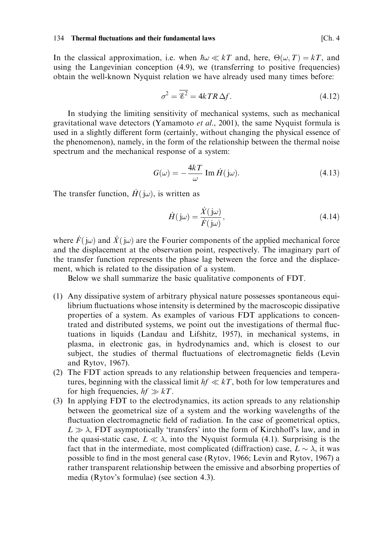In the classical approximation, i.e. when  $\hbar \omega \ll kT$  and, here,  $\Theta(\omega, T) = kT$ , and using the Langevinian conception  $(4.9)$ , we (transferring to positive frequencies) obtain the well-known Nyquist relation we have already used many times before:

$$
\sigma^2 = \overline{\mathcal{E}^2} = 4kTR\,\Delta f. \tag{4.12}
$$

In studying the limiting sensitivity of mechanical systems, such as mechanical gravitational wave detectors (Yamamoto *et al.*, 2001), the same Nyquist formula is used in a slightly different form (certainly, without changing the physical essence of the phenomenon), namely, in the form of the relationship between the thermal noise spectrum and the mechanical response of a system:

$$
G(\omega) = -\frac{4kT}{\omega} \operatorname{Im} \dot{H}(\mathbf{j}\omega). \tag{4.13}
$$

The transfer function,  $\dot{H}(\dot{\mu})$ , is written as

$$
\dot{H}(\mathbf{j}\omega) = \frac{\dot{X}(\mathbf{j}\omega)}{\dot{F}(\mathbf{j}\omega)},\tag{4.14}
$$

where  $\dot{F}(\dot{\omega})$  and  $\dot{X}(\dot{\omega})$  are the Fourier components of the applied mechanical force and the displacement at the observation point, respectively. The imaginary part of the transfer function represents the phase lag between the force and the displacement, which is related to the dissipation of a system.

Below we shall summarize the basic qualitative components of FDT.

- (1) Any dissipative system of arbitrary physical nature possesses spontaneous equilibrium fluctuations whose intensity is determined by the macroscopic dissipative properties of a system. As examples of various FDT applications to concentrated and distributed systems, we point out the investigations of thermal fluctuations in liquids (Landau and Lifshitz, 1957), in mechanical systems, in plasma, in electronic gas, in hydrodynamics and, which is closest to our subject, the studies of thermal fluctuations of electromagnetic fields (Levin and Rytov, 1967).
- (2) The FDT action spreads to any relationship between frequencies and temperatures, beginning with the classical limit  $hf \ll kT$ , both for low temperatures and for high frequencies,  $hf \gg kT$ .
- (3) In applying FDT to the electrodynamics, its action spreads to any relationship between the geometrical size of a system and the working wavelengths of the fluctuation electromagnetic field of radiation. In the case of geometrical optics,  $L \gg \lambda$ , FDT asymptotically 'transfers' into the form of Kirchhoff's law, and in the quasi-static case,  $L \ll \lambda$ , into the Nyquist formula (4.1). Surprising is the fact that in the intermediate, most complicated (diffraction) case,  $L \sim \lambda$ , it was possible to find in the most general case (Rytov, 1966; Levin and Rytov, 1967) a rather transparent relationship between the emissive and absorbing properties of media (Rytov's formulae) (see section 4.3).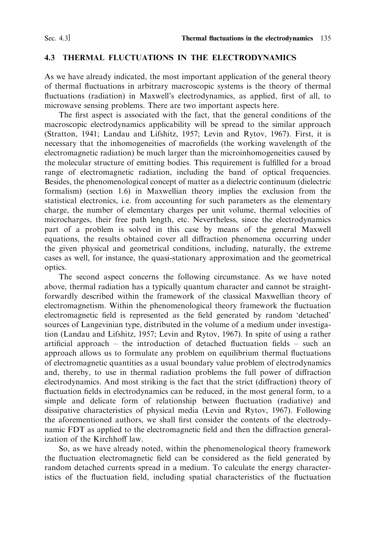#### THERMAL FLUCTUATIONS IN THE ELECTRODYNAMICS 4.3

As we have already indicated, the most important application of the general theory of thermal fluctuations in arbitrary macroscopic systems is the theory of thermal fluctuations (radiation) in Maxwell's electrodynamics, as applied, first of all, to microwave sensing problems. There are two important aspects here.

The first aspect is associated with the fact, that the general conditions of the macroscopic electrodynamics applicability will be spread to the similar approach (Stratton, 1941; Landau and Lifshitz, 1957; Levin and Rytov, 1967). First, it is necessary that the inhomogeneities of macrofields (the working wavelength of the electromagnetic radiation) be much larger than the microinhomogeneities caused by the molecular structure of emitting bodies. This requirement is fulfilled for a broad range of electromagnetic radiation, including the band of optical frequencies. Besides, the phenomenological concept of matter as a dielectric continuum (dielectric formalism) (section 1.6) in Maxwellian theory implies the exclusion from the statistical electronics, i.e. from accounting for such parameters as the elementary charge, the number of elementary charges per unit volume, thermal velocities of microcharges, their free path length, etc. Nevertheless, since the electrodynamics part of a problem is solved in this case by means of the general Maxwell equations, the results obtained cover all diffraction phenomena occurring under the given physical and geometrical conditions, including, naturally, the extreme cases as well, for instance, the quasi-stationary approximation and the geometrical optics.

The second aspect concerns the following circumstance. As we have noted above, thermal radiation has a typically quantum character and cannot be straightforwardly described within the framework of the classical Maxwellian theory of electromagnetism. Within the phenomenological theory framework the fluctuation electromagnetic field is represented as the field generated by random 'detached' sources of Langevinian type, distributed in the volume of a medium under investigation (Landau and Lifshitz, 1957; Levin and Rytov, 1967). In spite of using a rather artificial approach  $-$  the introduction of detached fluctuation fields  $-$  such an approach allows us to formulate any problem on equilibrium thermal fluctuations of electromagnetic quantities as a usual boundary value problem of electrodynamics and, thereby, to use in thermal radiation problems the full power of diffraction electrodynamics. And most striking is the fact that the strict (diffraction) theory of fluctuation fields in electrodynamics can be reduced, in the most general form, to a simple and delicate form of relationship between fluctuation (radiative) and dissipative characteristics of physical media (Levin and Rytov, 1967). Following the aforementioned authors, we shall first consider the contents of the electrodynamic FDT as applied to the electromagnetic field and then the diffraction generalization of the Kirchhoff law.

So, as we have already noted, within the phenomenological theory framework the fluctuation electromagnetic field can be considered as the field generated by random detached currents spread in a medium. To calculate the energy characteristics of the fluctuation field, including spatial characteristics of the fluctuation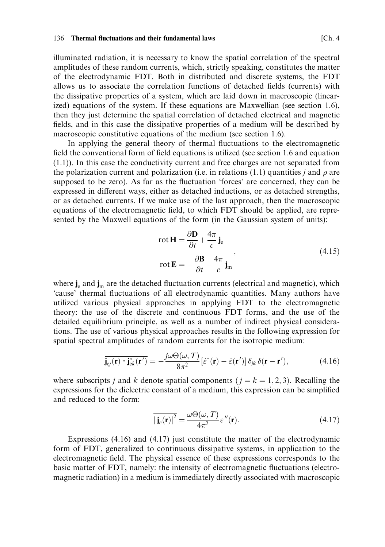illuminated radiation, it is necessary to know the spatial correlation of the spectral amplitudes of these random currents, which, strictly speaking, constitutes the matter of the electrodynamic FDT. Both in distributed and discrete systems, the FDT allows us to associate the correlation functions of detached fields (currents) with the dissipative properties of a system, which are laid down in macroscopic (linearized) equations of the system. If these equations are Maxwellian (see section 1.6), then they just determine the spatial correlation of detached electrical and magnetic fields, and in this case the dissipative properties of a medium will be described by macroscopic constitutive equations of the medium (see section 1.6).

In applying the general theory of thermal fluctuations to the electromagnetic field the conventional form of field equations is utilized (see section 1.6 and equation  $(1.1)$ ). In this case the conductivity current and free charges are not separated from the polarization current and polarization (i.e. in relations (1.1) quantities j and  $\rho$  are supposed to be zero). As far as the fluctuation 'forces' are concerned, they can be expressed in different ways, either as detached inductions, or as detached strengths, or as detached currents. If we make use of the last approach, then the macroscopic equations of the electromagnetic field, to which FDT should be applied, are represented by the Maxwell equations of the form (in the Gaussian system of units):

$$
\text{rot}\,\mathbf{H} = \frac{\partial \mathbf{D}}{\partial t} + \frac{4\pi}{c}\,\mathbf{j}_e
$$
\n
$$
\text{rot}\,\mathbf{E} = -\frac{\partial \mathbf{B}}{\partial t} - \frac{4\pi}{c}\,\mathbf{j}_m\tag{4.15}
$$

where  $\mathbf{j}_e$  and  $\mathbf{j}_m$  are the detached fluctuation currents (electrical and magnetic), which 'cause' thermal fluctuations of all electrodynamic quantities. Many authors have utilized various physical approaches in applying FDT to the electromagnetic theory: the use of the discrete and continuous FDT forms, and the use of the detailed equilibrium principle, as well as a number of indirect physical considerations. The use of various physical approaches results in the following expression for spatial spectral amplitudes of random currents for the isotropic medium:

$$
\overline{\mathbf{j}_{\mathrm{e}j}(\mathbf{r}) \cdot \mathbf{j}_{\mathrm{e}k}^*(\mathbf{r}')} = -\frac{j\omega\Theta(\omega, T)}{8\pi^2} [\dot{\varepsilon}^*(\mathbf{r}) - \dot{\varepsilon}(\mathbf{r}')] \, \delta_{jk} \, \delta(\mathbf{r} - \mathbf{r}'),\tag{4.16}
$$

where subscripts *j* and *k* denote spatial components ( $j = k = 1, 2, 3$ ). Recalling the expressions for the dielectric constant of a medium, this expression can be simplified and reduced to the form:

$$
\overline{|\mathbf{j}_{\varepsilon}(\mathbf{r})|^{2}} = \frac{\omega \Theta(\omega, T)}{4\pi^{2}} \varepsilon''(\mathbf{r}).
$$
\n(4.17)

Expressions  $(4.16)$  and  $(4.17)$  just constitute the matter of the electrodynamic form of FDT, generalized to continuous dissipative systems, in application to the electromagnetic field. The physical essence of these expressions corresponds to the basic matter of FDT, namely: the intensity of electromagnetic fluctuations (electromagnetic radiation) in a medium is immediately directly associated with macroscopic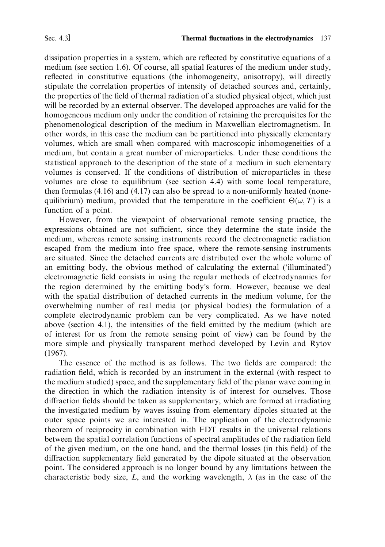dissipation properties in a system, which are reflected by constitutive equations of a medium (see section 1.6). Of course, all spatial features of the medium under study, reflected in constitutive equations (the inhomogeneity, anisotropy), will directly stipulate the correlation properties of intensity of detached sources and, certainly, the properties of the field of thermal radiation of a studied physical object, which just will be recorded by an external observer. The developed approaches are valid for the homogeneous medium only under the condition of retaining the prerequisites for the phenomenological description of the medium in Maxwellian electromagnetism. In other words, in this case the medium can be partitioned into physically elementary volumes, which are small when compared with macroscopic inhomogeneities of a medium, but contain a great number of microparticles. Under these conditions the statistical approach to the description of the state of a medium in such elementary volumes is conserved. If the conditions of distribution of microparticles in these volumes are close to equilibrium (see section 4.4) with some local temperature. then formulas  $(4.16)$  and  $(4.17)$  can also be spread to a non-uniformly heated (nonequilibrium) medium, provided that the temperature in the coefficient  $\Theta(\omega, T)$  is a function of a point.

However, from the viewpoint of observational remote sensing practice, the expressions obtained are not sufficient, since they determine the state inside the medium, whereas remote sensing instruments record the electromagnetic radiation escaped from the medium into free space, where the remote-sensing instruments are situated. Since the detached currents are distributed over the whole volume of an emitting body, the obvious method of calculating the external ('illuminated') electromagnetic field consists in using the regular methods of electrodynamics for the region determined by the emitting body's form. However, because we deal with the spatial distribution of detached currents in the medium volume, for the overwhelming number of real media (or physical bodies) the formulation of a complete electrodynamic problem can be very complicated. As we have noted above (section 4.1), the intensities of the field emitted by the medium (which are of interest for us from the remote sensing point of view) can be found by the more simple and physically transparent method developed by Levin and Rytov  $(1967).$ 

The essence of the method is as follows. The two fields are compared: the radiation field, which is recorded by an instrument in the external (with respect to the medium studied) space, and the supplementary field of the planar wave coming in the direction in which the radiation intensity is of interest for ourselves. Those diffraction fields should be taken as supplementary, which are formed at irradiating the investigated medium by waves issuing from elementary dipoles situated at the outer space points we are interested in. The application of the electrodynamic theorem of reciprocity in combination with FDT results in the universal relations between the spatial correlation functions of spectral amplitudes of the radiation field of the given medium, on the one hand, and the thermal losses (in this field) of the diffraction supplementary field generated by the dipole situated at the observation point. The considered approach is no longer bound by any limitations between the characteristic body size, L, and the working wavelength,  $\lambda$  (as in the case of the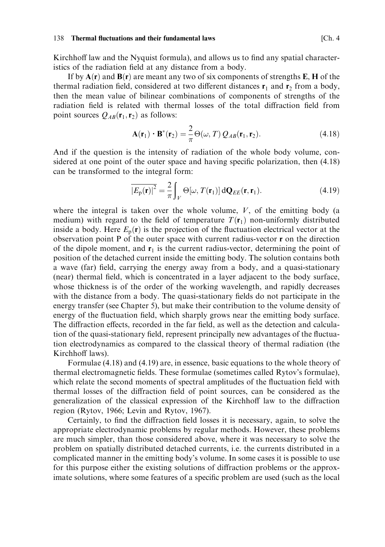Kirchhoff law and the Nyquist formula), and allows us to find any spatial characteristics of the radiation field at any distance from a body.

If by  $A(r)$  and  $B(r)$  are meant any two of six components of strengths E, H of the thermal radiation field, considered at two different distances  $\mathbf{r}_1$  and  $\mathbf{r}_2$  from a body, then the mean value of bilinear combinations of components of strengths of the radiation field is related with thermal losses of the total diffraction field from point sources  $Q_{AB}(\mathbf{r}_1, \mathbf{r}_2)$  as follows:

$$
\mathbf{A}(\mathbf{r}_1) \cdot \mathbf{B}^*(\mathbf{r}_2) = \frac{2}{\pi} \Theta(\omega, T) Q_{AB}(\mathbf{r}_1, \mathbf{r}_2).
$$
 (4.18)

And if the question is the intensity of radiation of the whole body volume, considered at one point of the outer space and having specific polarization, then (4.18) can be transformed to the integral form:

$$
\overline{\left|E_{\mathbf{p}}(\mathbf{r})\right|^2} = \frac{2}{\pi} \int_{V} \Theta[\omega, T(\mathbf{r}_1)] \, \mathrm{d} \mathbf{Q}_{EE}(\mathbf{r}, \mathbf{r}_1). \tag{4.19}
$$

where the integral is taken over the whole volume,  $V$ , of the emitting body (a medium) with regard to the field of temperature  $T(\mathbf{r}_1)$  non-uniformly distributed inside a body. Here  $E_p(\mathbf{r})$  is the projection of the fluctuation electrical vector at the observation point  $P$  of the outer space with current radius-vector  $r$  on the direction of the dipole moment, and  $\mathbf{r}_1$  is the current radius-vector, determining the point of position of the detached current inside the emitting body. The solution contains both a wave (far) field, carrying the energy away from a body, and a quasi-stationary (near) thermal field, which is concentrated in a layer adjacent to the body surface, whose thickness is of the order of the working wavelength, and rapidly decreases with the distance from a body. The quasi-stationary fields do not participate in the energy transfer (see Chapter 5), but make their contribution to the volume density of energy of the fluctuation field, which sharply grows near the emitting body surface. The diffraction effects, recorded in the far field, as well as the detection and calculation of the quasi-stationary field, represent principally new advantages of the fluctuation electrodynamics as compared to the classical theory of thermal radiation (the Kirchhoff laws).

Formulae (4.18) and (4.19) are, in essence, basic equations to the whole theory of thermal electromagnetic fields. These formulae (sometimes called Rytov's formulae), which relate the second moments of spectral amplitudes of the fluctuation field with thermal losses of the diffraction field of point sources, can be considered as the generalization of the classical expression of the Kirchhoff law to the diffraction region (Rytov, 1966; Levin and Rytov, 1967).

Certainly, to find the diffraction field losses it is necessary, again, to solve the appropriate electrodynamic problems by regular methods. However, these problems are much simpler, than those considered above, where it was necessary to solve the problem on spatially distributed detached currents, i.e. the currents distributed in a complicated manner in the emitting body's volume. In some cases it is possible to use for this purpose either the existing solutions of diffraction problems or the approximate solutions, where some features of a specific problem are used (such as the local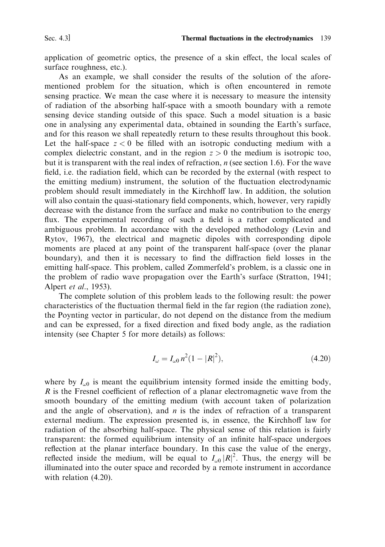application of geometric optics, the presence of a skin effect, the local scales of surface roughness, etc.).

As an example, we shall consider the results of the solution of the aforementioned problem for the situation, which is often encountered in remote sensing practice. We mean the case where it is necessary to measure the intensity of radiation of the absorbing half-space with a smooth boundary with a remote sensing device standing outside of this space. Such a model situation is a basic one in analysing any experimental data, obtained in sounding the Earth's surface, and for this reason we shall repeatedly return to these results throughout this book. Let the half-space  $z < 0$  be filled with an isotropic conducting medium with a complex dielectric constant, and in the region  $z > 0$  the medium is isotropic too, but it is transparent with the real index of refraction,  $n$  (see section 1.6). For the wave field, i.e. the radiation field, which can be recorded by the external (with respect to the emitting medium) instrument, the solution of the fluctuation electrodynamic problem should result immediately in the Kirchhoff law. In addition, the solution will also contain the quasi-stationary field components, which, however, very rapidly decrease with the distance from the surface and make no contribution to the energy flux. The experimental recording of such a field is a rather complicated and ambiguous problem. In accordance with the developed methodology (Levin and Rytov, 1967), the electrical and magnetic dipoles with corresponding dipole moments are placed at any point of the transparent half-space (over the planar boundary), and then it is necessary to find the diffraction field losses in the emitting half-space. This problem, called Zommerfeld's problem, is a classic one in the problem of radio wave propagation over the Earth's surface (Stratton, 1941; Alpert et al., 1953).

The complete solution of this problem leads to the following result: the power characteristics of the fluctuation thermal field in the far region (the radiation zone). the Poynting vector in particular, do not depend on the distance from the medium and can be expressed, for a fixed direction and fixed body angle, as the radiation intensity (see Chapter 5 for more details) as follows:

$$
I_{\omega} = I_{\omega 0} n^2 (1 - |R|^2), \tag{4.20}
$$

where by  $I_{\omega 0}$  is meant the equilibrium intensity formed inside the emitting body,  $R$  is the Fresnel coefficient of reflection of a planar electromagnetic wave from the smooth boundary of the emitting medium (with account taken of polarization and the angle of observation), and  $n$  is the index of refraction of a transparent external medium. The expression presented is, in essence, the Kirchhoff law for radiation of the absorbing half-space. The physical sense of this relation is fairly transparent: the formed equilibrium intensity of an infinite half-space undergoes reflection at the planar interface boundary. In this case the value of the energy, reflected inside the medium, will be equal to  $I_{\omega 0} |R|^2$ . Thus, the energy will be illuminated into the outer space and recorded by a remote instrument in accordance with relation (4.20).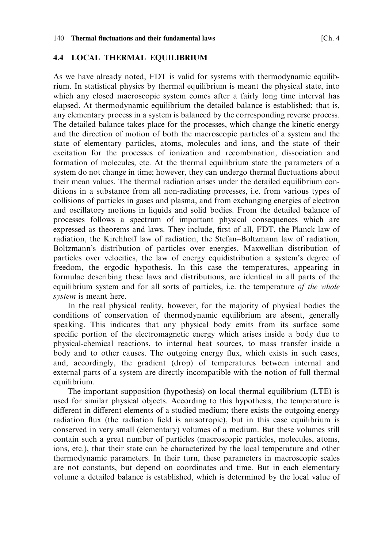## **4.4 LOCAL THERMAL EQUILIBRIUM**

As we have already noted, FDT is valid for systems with thermodynamic equilibrium. In statistical physics by thermal equilibrium is meant the physical state, into which any closed macroscopic system comes after a fairly long time interval has elapsed. At thermodynamic equilibrium the detailed balance is established; that is, any elementary process in a system is balanced by the corresponding reverse process. The detailed balance takes place for the processes, which change the kinetic energy and the direction of motion of both the macroscopic particles of a system and the state of elementary particles, atoms, molecules and ions, and the state of their excitation for the processes of ionization and recombination, dissociation and formation of molecules, etc. At the thermal equilibrium state the parameters of a system do not change in time; however, they can undergo thermal fluctuations about their mean values. The thermal radiation arises under the detailed equilibrium conditions in a substance from all non-radiating processes, i.e. from various types of collisions of particles in gases and plasma, and from exchanging energies of electron and oscillatory motions in liquids and solid bodies. From the detailed balance of processes follows a spectrum of important physical consequences which are expressed as theorems and laws. They include, first of all, FDT, the Planck law of radiation, the Kirchhoff law of radiation, the Stefan-Boltzmann law of radiation, Boltzmann's distribution of particles over energies, Maxwellian distribution of particles over velocities, the law of energy equidistribution a system's degree of freedom, the ergodic hypothesis. In this case the temperatures, appearing in formulae describing these laws and distributions, are identical in all parts of the equilibrium system and for all sorts of particles, i.e. the temperature of the whole *system* is meant here.

In the real physical reality, however, for the majority of physical bodies the conditions of conservation of thermodynamic equilibrium are absent, generally speaking. This indicates that any physical body emits from its surface some specific portion of the electromagnetic energy which arises inside a body due to physical-chemical reactions, to internal heat sources, to mass transfer inside a body and to other causes. The outgoing energy flux, which exists in such cases, and, accordingly, the gradient (drop) of temperatures between internal and external parts of a system are directly incompatible with the notion of full thermal equilibrium.

The important supposition (hypothesis) on local thermal equilibrium (LTE) is used for similar physical objects. According to this hypothesis, the temperature is different in different elements of a studied medium; there exists the outgoing energy radiation flux (the radiation field is anisotropic), but in this case equilibrium is conserved in very small (elementary) volumes of a medium. But these volumes still contain such a great number of particles (macroscopic particles, molecules, atoms, ions, etc.), that their state can be characterized by the local temperature and other thermodynamic parameters. In their turn, these parameters in macroscopic scales are not constants, but depend on coordinates and time. But in each elementary volume a detailed balance is established, which is determined by the local value of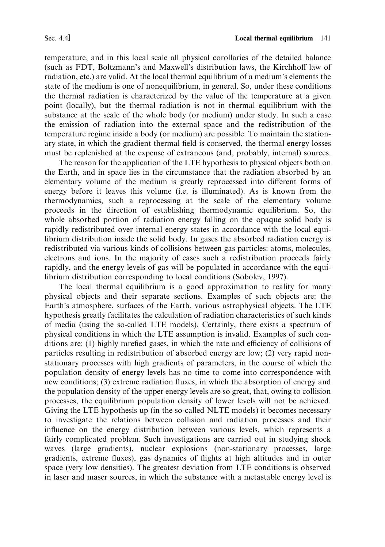temperature, and in this local scale all physical corollaries of the detailed balance (such as FDT, Boltzmann's and Maxwell's distribution laws, the Kirchhoff law of radiation, etc.) are valid. At the local thermal equilibrium of a medium's elements the state of the medium is one of nonequilibrium, in general. So, under these conditions the thermal radiation is characterized by the value of the temperature at a given point (locally), but the thermal radiation is not in thermal equilibrium with the substance at the scale of the whole body (or medium) under study. In such a case the emission of radiation into the external space and the redistribution of the temperature regime inside a body (or medium) are possible. To maintain the stationary state, in which the gradient thermal field is conserved, the thermal energy losses must be replenished at the expense of extraneous (and, probably, internal) sources.

The reason for the application of the LTE hypothesis to physical objects both on the Earth, and in space lies in the circumstance that the radiation absorbed by an elementary volume of the medium is greatly reprocessed into different forms of energy before it leaves this volume (i.e. is illuminated). As is known from the thermodynamics, such a reprocessing at the scale of the elementary volume proceeds in the direction of establishing thermodynamic equilibrium. So, the whole absorbed portion of radiation energy falling on the opaque solid body is rapidly redistributed over internal energy states in accordance with the local equilibrium distribution inside the solid body. In gases the absorbed radiation energy is redistributed via various kinds of collisions between gas particles; atoms, molecules, electrons and ions. In the majority of cases such a redistribution proceeds fairly rapidly, and the energy levels of gas will be populated in accordance with the equilibrium distribution corresponding to local conditions (Soboley, 1997).

The local thermal equilibrium is a good approximation to reality for many physical objects and their separate sections. Examples of such objects are: the Earth's atmosphere, surfaces of the Earth, various astrophysical objects. The LTE hypothesis greatly facilitates the calculation of radiation characteristics of such kinds of media (using the so-called LTE models). Certainly, there exists a spectrum of physical conditions in which the LTE assumption is invalid. Examples of such conditions are: (1) highly rarefied gases, in which the rate and efficiency of collisions of particles resulting in redistribution of absorbed energy are low; (2) very rapid nonstationary processes with high gradients of parameters, in the course of which the population density of energy levels has no time to come into correspondence with new conditions; (3) extreme radiation fluxes, in which the absorption of energy and the population density of the upper energy levels are so great, that, owing to collision processes, the equilibrium population density of lower levels will not be achieved. Giving the LTE hypothesis up (in the so-called NLTE models) it becomes necessary to investigate the relations between collision and radiation processes and their influence on the energy distribution between various levels, which represents a fairly complicated problem. Such investigations are carried out in studying shock waves (large gradients), nuclear explosions (non-stationary processes, large gradients, extreme fluxes), gas dynamics of flights at high altitudes and in outer space (very low densities). The greatest deviation from LTE conditions is observed in laser and maser sources, in which the substance with a metastable energy level is